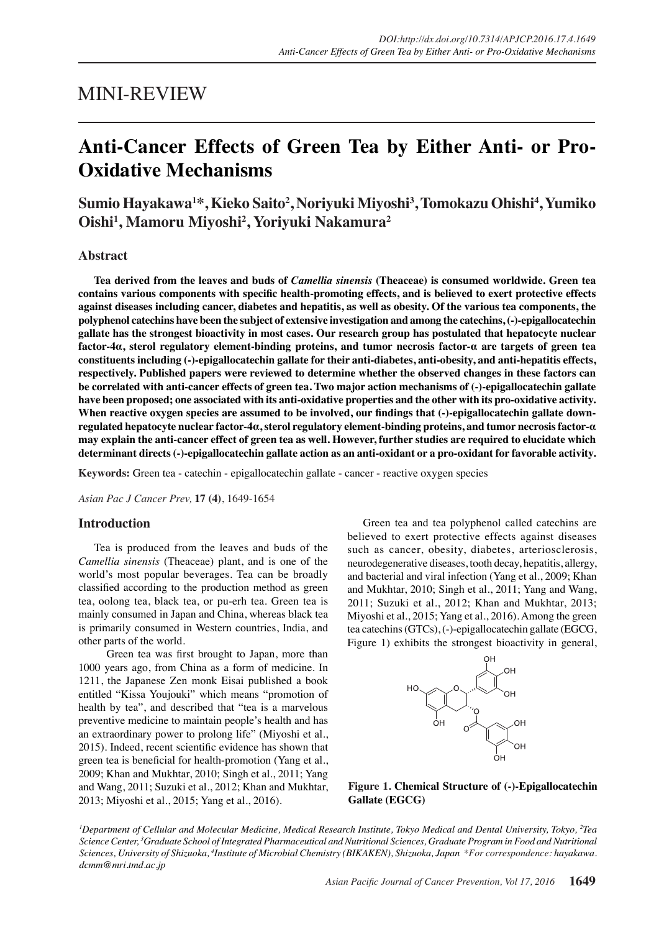## MINI-REVIEW

# **Anti-Cancer Effects of Green Tea by Either Anti- or Pro-Oxidative Mechanisms**

**Sumio Hayakawa<sup>1</sup> \*, Kieko Saito<sup>2</sup> , Noriyuki Miyoshi<sup>3</sup> , Tomokazu Ohishi<sup>4</sup> , Yumiko Oishi<sup>1</sup> , Mamoru Miyoshi<sup>2</sup> , Yoriyuki Nakamura<sup>2</sup>**

### **Abstract**

**Tea derived from the leaves and buds of** *Camellia sinensis* **(Theaceae) is consumed worldwide. Green tea contains various components with specific health-promoting effects, and is believed to exert protective effects against diseases including cancer, diabetes and hepatitis, as well as obesity. Of the various tea components, the polyphenol catechins have been the subject of extensive investigation and among the catechins, (-)-epigallocatechin gallate has the strongest bioactivity in most cases. Our research group has postulated that hepatocyte nuclear factor-4α, sterol regulatory element-binding proteins, and tumor necrosis factor-α are targets of green tea constituents including (-)-epigallocatechin gallate for their anti-diabetes, anti-obesity, and anti-hepatitis effects, respectively. Published papers were reviewed to determine whether the observed changes in these factors can be correlated with anti-cancer effects of green tea. Two major action mechanisms of (-)-epigallocatechin gallate have been proposed; one associated with its anti-oxidative properties and the other with its pro-oxidative activity.**  When reactive oxygen species are assumed to be involved, our findings that (-)-epigallocatechin gallate down**regulated hepatocyte nuclear factor-4α, sterol regulatory element-binding proteins, and tumor necrosis factor-α may explain the anti-cancer effect of green tea as well. However, further studies are required to elucidate which determinant directs (-)-epigallocatechin gallate action as an anti-oxidant or a pro-oxidant for favorable activity.**

**Keywords:** Green tea - catechin - epigallocatechin gallate - cancer - reactive oxygen species

*Asian Pac J Cancer Prev,* **17 (4)**, 1649-1654

#### **Introduction**

Tea is produced from the leaves and buds of the *Camellia sinensis* (Theaceae) plant, and is one of the world's most popular beverages. Tea can be broadly classified according to the production method as green tea, oolong tea, black tea, or pu-erh tea. Green tea is mainly consumed in Japan and China, whereas black tea is primarily consumed in Western countries, India, and other parts of the world.

 Green tea was first brought to Japan, more than 1000 years ago, from China as a form of medicine. In 1211, the Japanese Zen monk Eisai published a book entitled "Kissa Youjouki" which means "promotion of health by tea", and described that "tea is a marvelous preventive medicine to maintain people's health and has an extraordinary power to prolong life" (Miyoshi et al., 2015). Indeed, recent scientific evidence has shown that green tea is beneficial for health-promotion (Yang et al., 2009; Khan and Mukhtar, 2010; Singh et al., 2011; Yang and Wang, 2011; Suzuki et al., 2012; Khan and Mukhtar, 2013; Miyoshi et al., 2015; Yang et al., 2016).

Green tea and tea polyphenol called catechins are believed to exert protective effects against diseases such as cancer, obesity, diabetes, arteriosclerosis, neurodegenerative diseases, tooth decay, hepatitis, allergy, and bacterial and viral infection (Yang et al., 2009; Khan and Mukhtar, 2010; Singh et al., 2011; Yang and Wang, 2011; Suzuki et al., 2012; Khan and Mukhtar, 2013; Miyoshi et al., 2015; Yang et al., 2016). Among the green tea catechins (GTCs), (-)-epigallocatechin gallate (EGCG, Figure 1) exhibits the strongest bioactivity in general,



**Figure 1. Chemical Structure of (-)-Epigallocatechin Gallate (EGCG) (-)-Epigallocatechin gallate (EGCG)** 

*1 Department of Cellular and Molecular Medicine, Medical Research Institute, Tokyo Medical and Dental University, Tokyo, 2 Tea Science Center, 3 Graduate School of Integrated Pharmaceutical and Nutritional Sciences, Graduate Program in Food and Nutritional Sciences, University of Shizuoka, 4 Institute of Microbial Chemistry (BIKAKEN), Shizuoka, Japan \*For correspondence: hayakawa. dcmm@mri.tmd.ac.jp*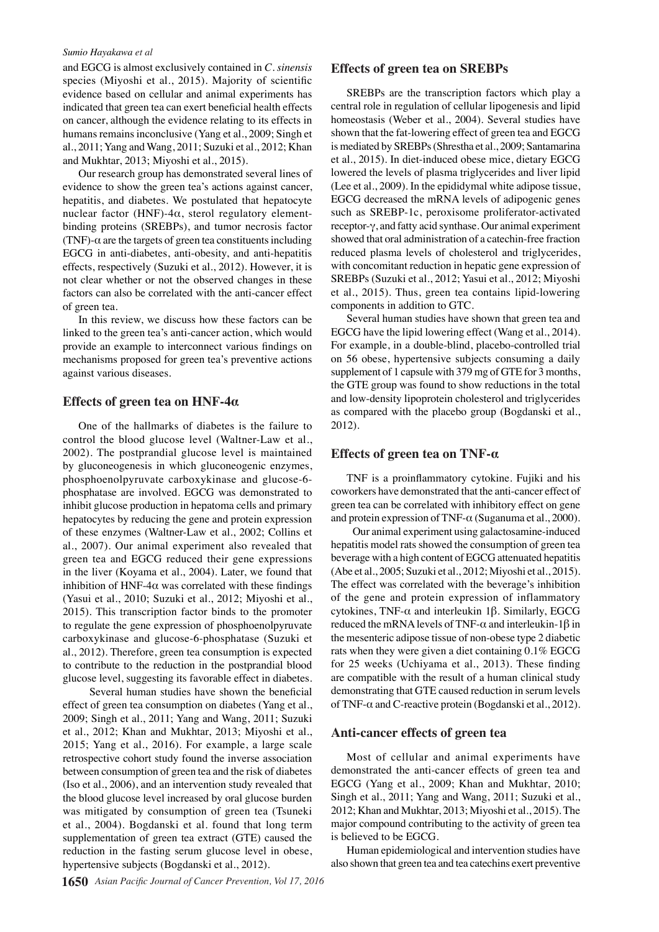#### *Sumio Hayakawa et al*

and EGCG is almost exclusively contained in *C. sinensis* species (Miyoshi et al., 2015). Majority of scientific evidence based on cellular and animal experiments has indicated that green tea can exert beneficial health effects on cancer, although the evidence relating to its effects in humans remains inconclusive (Yang et al., 2009; Singh et al., 2011; Yang and Wang, 2011; Suzuki et al., 2012; Khan and Mukhtar, 2013; Miyoshi et al., 2015).

Our research group has demonstrated several lines of evidence to show the green tea's actions against cancer, hepatitis, and diabetes. We postulated that hepatocyte nuclear factor (HNF)-4α, sterol regulatory elementbinding proteins (SREBPs), and tumor necrosis factor (TNF)- $\alpha$  are the targets of green tea constituents including EGCG in anti-diabetes, anti-obesity, and anti-hepatitis effects, respectively (Suzuki et al., 2012). However, it is not clear whether or not the observed changes in these factors can also be correlated with the anti-cancer effect of green tea.

In this review, we discuss how these factors can be linked to the green tea's anti-cancer action, which would provide an example to interconnect various findings on mechanisms proposed for green tea's preventive actions against various diseases.

#### **Effects of green tea on HNF-4α**

One of the hallmarks of diabetes is the failure to control the blood glucose level (Waltner-Law et al., 2002). The postprandial glucose level is maintained by gluconeogenesis in which gluconeogenic enzymes, phosphoenolpyruvate carboxykinase and glucose-6 phosphatase are involved. EGCG was demonstrated to inhibit glucose production in hepatoma cells and primary hepatocytes by reducing the gene and protein expression of these enzymes (Waltner-Law et al., 2002; Collins et al., 2007). Our animal experiment also revealed that green tea and EGCG reduced their gene expressions in the liver (Koyama et al., 2004). Later, we found that inhibition of HNF-4 $\alpha$  was correlated with these findings (Yasui et al., 2010; Suzuki et al., 2012; Miyoshi et al., 2015). This transcription factor binds to the promoter to regulate the gene expression of phosphoenolpyruvate carboxykinase and glucose-6-phosphatase (Suzuki et al., 2012). Therefore, green tea consumption is expected to contribute to the reduction in the postprandial blood glucose level, suggesting its favorable effect in diabetes.

 Several human studies have shown the beneficial effect of green tea consumption on diabetes (Yang et al., 2009; Singh et al., 2011; Yang and Wang, 2011; Suzuki et al., 2012; Khan and Mukhtar, 2013; Miyoshi et al., 2015; Yang et al., 2016). For example, a large scale retrospective cohort study found the inverse association between consumption of green tea and the risk of diabetes (Iso et al., 2006), and an intervention study revealed that the blood glucose level increased by oral glucose burden was mitigated by consumption of green tea (Tsuneki et al., 2004). Bogdanski et al. found that long term supplementation of green tea extract (GTE) caused the reduction in the fasting serum glucose level in obese, hypertensive subjects (Bogdanski et al., 2012).

#### **Effects of green tea on SREBPs**

SREBPs are the transcription factors which play a central role in regulation of cellular lipogenesis and lipid homeostasis (Weber et al., 2004). Several studies have shown that the fat-lowering effect of green tea and EGCG is mediated by SREBPs (Shrestha et al., 2009; Santamarina et al., 2015). In diet-induced obese mice, dietary EGCG lowered the levels of plasma triglycerides and liver lipid (Lee et al., 2009). In the epididymal white adipose tissue, EGCG decreased the mRNA levels of adipogenic genes such as SREBP-1c, peroxisome proliferator-activated receptor-γ, and fatty acid synthase. Our animal experiment showed that oral administration of a catechin-free fraction reduced plasma levels of cholesterol and triglycerides, with concomitant reduction in hepatic gene expression of SREBPs (Suzuki et al., 2012; Yasui et al., 2012; Miyoshi et al., 2015). Thus, green tea contains lipid-lowering components in addition to GTC.

Several human studies have shown that green tea and EGCG have the lipid lowering effect (Wang et al., 2014). For example, in a double-blind, placebo-controlled trial on 56 obese, hypertensive subjects consuming a daily supplement of 1 capsule with 379 mg of GTE for 3 months, the GTE group was found to show reductions in the total and low-density lipoprotein cholesterol and triglycerides as compared with the placebo group (Bogdanski et al., 2012).

## **Effects of green tea on TNF-α**

TNF is a proinflammatory cytokine. Fujiki and his coworkers have demonstrated that the anti-cancer effect of green tea can be correlated with inhibitory effect on gene and protein expression of TNF- $\alpha$  (Suganuma et al., 2000).

 Our animal experiment using galactosamine-induced hepatitis model rats showed the consumption of green tea beverage with a high content of EGCG attenuated hepatitis (Abe et al., 2005; Suzuki et al., 2012; Miyoshi et al., 2015). The effect was correlated with the beverage's inhibition of the gene and protein expression of inflammatory cytokines, TNF-α and interleukin 1β. Similarly, EGCG reduced the mRNA levels of TNF-α and interleukin-1β in the mesenteric adipose tissue of non-obese type 2 diabetic rats when they were given a diet containing 0.1% EGCG for 25 weeks (Uchiyama et al., 2013). These finding are compatible with the result of a human clinical study demonstrating that GTE caused reduction in serum levels of TNF-α and C-reactive protein (Bogdanski et al., 2012).

#### **Anti-cancer effects of green tea**

Most of cellular and animal experiments have demonstrated the anti-cancer effects of green tea and EGCG (Yang et al., 2009; Khan and Mukhtar, 2010; Singh et al., 2011; Yang and Wang, 2011; Suzuki et al., 2012; Khan and Mukhtar, 2013; Miyoshi et al., 2015). The major compound contributing to the activity of green tea is believed to be EGCG.

Human epidemiological and intervention studies have also shown that green tea and tea catechins exert preventive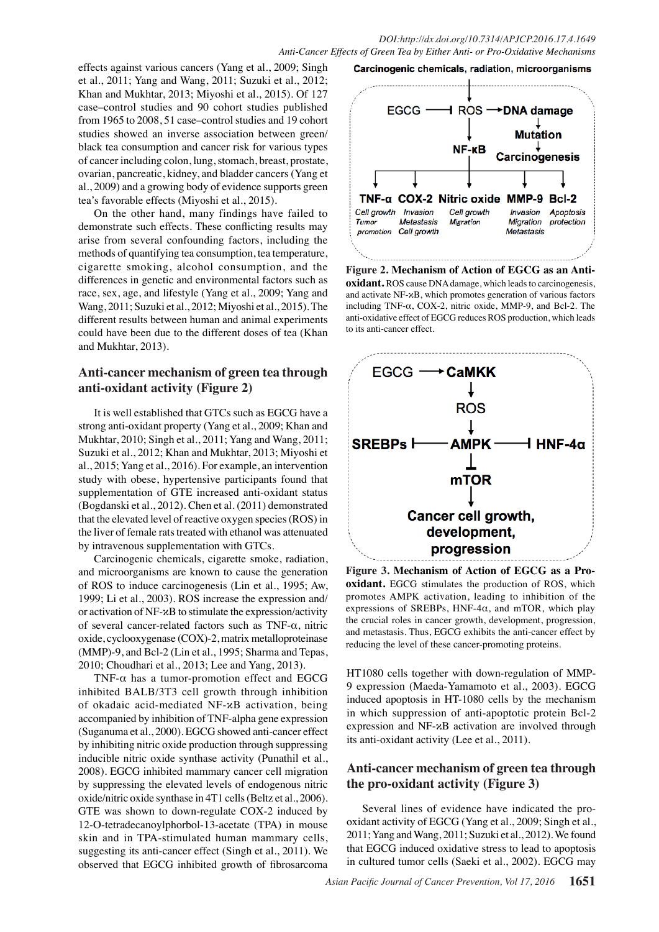effects against various cancers (Yang et al., 2009; Singh et al., 2011; Yang and Wang, 2011; Suzuki et al., 2012; Khan and Mukhtar, 2013; Miyoshi et al., 2015). Of 127 case–control studies and 90 cohort studies published from 1965 to 2008, 51 case–control studies and 19 cohort studies showed an inverse association between green/ black tea consumption and cancer risk for various types of cancer including colon, lung, stomach, breast, prostate, ovarian, pancreatic, kidney, and bladder cancers (Yang et al., 2009) and a growing body of evidence supports green tea's favorable effects (Miyoshi et al., 2015).

On the other hand, many findings have failed to demonstrate such effects. These conflicting results may arise from several confounding factors, including the methods of quantifying tea consumption, tea temperature, cigarette smoking, alcohol consumption, and the differences in genetic and environmental factors such as race, sex, age, and lifestyle (Yang et al., 2009; Yang and Wang, 2011; Suzuki et al., 2012; Miyoshi et al., 2015). The different results between human and animal experiments could have been due to the different doses of tea (Khan and Mukhtar, 2013).

## **Anti-cancer mechanism of green tea through anti-oxidant activity (Figure 2)**

It is well established that GTCs such as EGCG have a strong anti-oxidant property (Yang et al., 2009; Khan and Mukhtar, 2010; Singh et al., 2011; Yang and Wang, 2011; Suzuki et al., 2012; Khan and Mukhtar, 2013; Miyoshi et al., 2015; Yang et al., 2016). For example, an intervention study with obese, hypertensive participants found that supplementation of GTE increased anti-oxidant status (Bogdanski et al., 2012). Chen et al. (2011) demonstrated that the elevated level of reactive oxygen species (ROS) in the liver of female rats treated with ethanol was attenuated by intravenous supplementation with GTCs.

Carcinogenic chemicals, cigarette smoke, radiation, and microorganisms are known to cause the generation of ROS to induce carcinogenesis (Lin et al., 1995; Aw, 1999; Li et al., 2003). ROS increase the expression and/ or activation of NF-κB to stimulate the expression/activity of several cancer-related factors such as TNF-α, nitric oxide, cyclooxygenase (COX)-2, matrix metalloproteinase (MMP)-9, and Bcl-2 (Lin et al., 1995; Sharma and Tepas, 2010; Choudhari et al., 2013; Lee and Yang, 2013).

TNF- $\alpha$  has a tumor-promotion effect and EGCG inhibited BALB/3T3 cell growth through inhibition of okadaic acid-mediated NF-κB activation, being accompanied by inhibition of TNF-alpha gene expression (Suganuma et al., 2000). EGCG showed anti-cancer effect by inhibiting nitric oxide production through suppressing inducible nitric oxide synthase activity (Punathil et al., 2008). EGCG inhibited mammary cancer cell migration by suppressing the elevated levels of endogenous nitric oxide/nitric oxide synthase in 4T1 cells (Beltz et al., 2006). GTE was shown to down-regulate COX-2 induced by 12-O-tetradecanoylphorbol-13-acetate (TPA) in mouse skin and in TPA-stimulated human mammary cells, suggesting its anti-cancer effect (Singh et al., 2011). We observed that EGCG inhibited growth of fibrosarcoma



**Figure 2. Mechanism of Action of EGCG as an Antioxidant.** ROS cause DNA damage, which leads to carcinogenesis, and activate NF-κB, which promotes generation of various factors including TNF-α, COX-2, nitric oxide, MMP-9, and Bcl-2. The anti-oxidative effect of EGCG reduces ROS production, which leads to its anti-cancer effect.



**Figure 3. Mechanism of Action of EGCG as a Prooxidant.** EGCG stimulates the production of ROS, which promotes AMPK activation, leading to inhibition of the expressions of SREBPs, HNF-4 $\alpha$ , and mTOR, which play the crucial roles in cancer growth, development, progression, and metastasis. Thus, EGCG exhibits the anti-cancer effect by reducing the level of these cancer-promoting proteins.

HT1080 cells together with down-regulation of MMP-9 expression (Maeda-Yamamoto et al., 2003). EGCG induced apoptosis in HT-1080 cells by the mechanism in which suppression of anti-apoptotic protein Bcl-2 expression and NF-κB activation are involved through its anti-oxidant activity (Lee et al., 2011).

## **Anti-cancer mechanism of green tea through the pro-oxidant activity (Figure 3)**

Several lines of evidence have indicated the prooxidant activity of EGCG (Yang et al., 2009; Singh et al., 2011; Yang and Wang, 2011; Suzuki et al., 2012). We found that EGCG induced oxidative stress to lead to apoptosis in cultured tumor cells (Saeki et al., 2002). EGCG may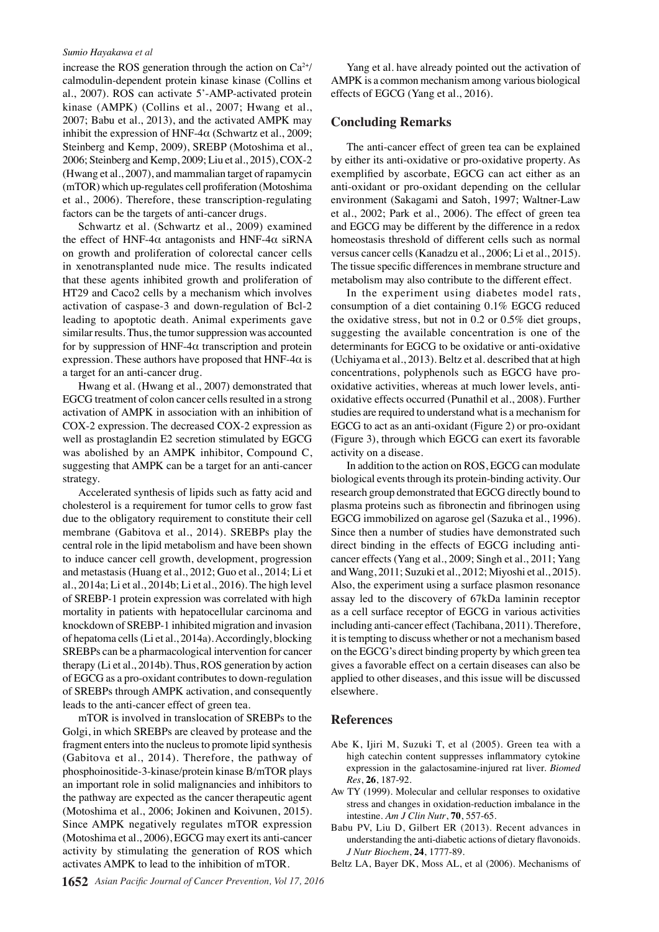#### *Sumio Hayakawa et al*

increase the ROS generation through the action on  $Ca^{2+}/$ calmodulin-dependent protein kinase kinase (Collins et al., 2007). ROS can activate 5'-AMP-activated protein kinase (AMPK) (Collins et al., 2007; Hwang et al., 2007; Babu et al., 2013), and the activated AMPK may inhibit the expression of HNF-4 $\alpha$  (Schwartz et al., 2009; Steinberg and Kemp, 2009), SREBP (Motoshima et al., 2006; Steinberg and Kemp, 2009; Liu et al., 2015), COX-2 (Hwang et al., 2007), and mammalian target of rapamycin (mTOR) which up-regulates cell profiferation (Motoshima et al., 2006). Therefore, these transcription-regulating factors can be the targets of anti-cancer drugs.

Schwartz et al. (Schwartz et al., 2009) examined the effect of HNF-4 $\alpha$  antagonists and HNF-4 $\alpha$  siRNA on growth and proliferation of colorectal cancer cells in xenotransplanted nude mice. The results indicated that these agents inhibited growth and proliferation of HT29 and Caco2 cells by a mechanism which involves activation of caspase-3 and down-regulation of Bcl-2 leading to apoptotic death. Animal experiments gave similar results. Thus, the tumor suppression was accounted for by suppression of HNF-4 $\alpha$  transcription and protein expression. These authors have proposed that  $HNF-4\alpha$  is a target for an anti-cancer drug.

Hwang et al. (Hwang et al., 2007) demonstrated that EGCG treatment of colon cancer cells resulted in a strong activation of AMPK in association with an inhibition of COX-2 expression. The decreased COX-2 expression as well as prostaglandin E2 secretion stimulated by EGCG was abolished by an AMPK inhibitor, Compound C, suggesting that AMPK can be a target for an anti-cancer strategy.

Accelerated synthesis of lipids such as fatty acid and cholesterol is a requirement for tumor cells to grow fast due to the obligatory requirement to constitute their cell membrane (Gabitova et al., 2014). SREBPs play the central role in the lipid metabolism and have been shown to induce cancer cell growth, development, progression and metastasis (Huang et al., 2012; Guo et al., 2014; Li et al., 2014a; Li et al., 2014b; Li et al., 2016). The high level of SREBP-1 protein expression was correlated with high mortality in patients with hepatocellular carcinoma and knockdown of SREBP-1 inhibited migration and invasion of hepatoma cells (Li et al., 2014a). Accordingly, blocking SREBPs can be a pharmacological intervention for cancer therapy (Li et al., 2014b). Thus, ROS generation by action of EGCG as a pro-oxidant contributes to down-regulation of SREBPs through AMPK activation, and consequently leads to the anti-cancer effect of green tea.

mTOR is involved in translocation of SREBPs to the Golgi, in which SREBPs are cleaved by protease and the fragment enters into the nucleus to promote lipid synthesis (Gabitova et al., 2014). Therefore, the pathway of phosphoinositide-3-kinase/protein kinase B/mTOR plays an important role in solid malignancies and inhibitors to the pathway are expected as the cancer therapeutic agent (Motoshima et al., 2006; Jokinen and Koivunen, 2015). Since AMPK negatively regulates mTOR expression (Motoshima et al., 2006), EGCG may exert its anti-cancer activity by stimulating the generation of ROS which activates AMPK to lead to the inhibition of mTOR.

Yang et al. have already pointed out the activation of AMPK is a common mechanism among various biological effects of EGCG (Yang et al., 2016).

#### **Concluding Remarks**

The anti-cancer effect of green tea can be explained by either its anti-oxidative or pro-oxidative property. As exemplified by ascorbate, EGCG can act either as an anti-oxidant or pro-oxidant depending on the cellular environment (Sakagami and Satoh, 1997; Waltner-Law et al., 2002; Park et al., 2006). The effect of green tea and EGCG may be different by the difference in a redox homeostasis threshold of different cells such as normal versus cancer cells (Kanadzu et al., 2006; Li et al., 2015). The tissue specific differences in membrane structure and metabolism may also contribute to the different effect.

In the experiment using diabetes model rats, consumption of a diet containing 0.1% EGCG reduced the oxidative stress, but not in 0.2 or 0.5% diet groups, suggesting the available concentration is one of the determinants for EGCG to be oxidative or anti-oxidative (Uchiyama et al., 2013). Beltz et al. described that at high concentrations, polyphenols such as EGCG have prooxidative activities, whereas at much lower levels, antioxidative effects occurred (Punathil et al., 2008). Further studies are required to understand what is a mechanism for EGCG to act as an anti-oxidant (Figure 2) or pro-oxidant (Figure 3), through which EGCG can exert its favorable activity on a disease.

In addition to the action on ROS, EGCG can modulate biological events through its protein-binding activity. Our research group demonstrated that EGCG directly bound to plasma proteins such as fibronectin and fibrinogen using EGCG immobilized on agarose gel (Sazuka et al., 1996). Since then a number of studies have demonstrated such direct binding in the effects of EGCG including anticancer effects (Yang et al., 2009; Singh et al., 2011; Yang and Wang, 2011; Suzuki et al., 2012; Miyoshi et al., 2015). Also, the experiment using a surface plasmon resonance assay led to the discovery of 67kDa laminin receptor as a cell surface receptor of EGCG in various activities including anti-cancer effect (Tachibana, 2011). Therefore, it is tempting to discuss whether or not a mechanism based on the EGCG's direct binding property by which green tea gives a favorable effect on a certain diseases can also be applied to other diseases, and this issue will be discussed elsewhere.

#### **References**

- Abe K, Ijiri M, Suzuki T, et al (2005). Green tea with a high catechin content suppresses inflammatory cytokine expression in the galactosamine-injured rat liver. *Biomed Res*, **26**, 187-92.
- Aw TY (1999). Molecular and cellular responses to oxidative stress and changes in oxidation-reduction imbalance in the intestine. *Am J Clin Nutr*, **70**, 557-65.
- Babu PV, Liu D, Gilbert ER (2013). Recent advances in understanding the anti-diabetic actions of dietary flavonoids. *J Nutr Biochem*, **24**, 1777-89.
- Beltz LA, Bayer DK, Moss AL, et al (2006). Mechanisms of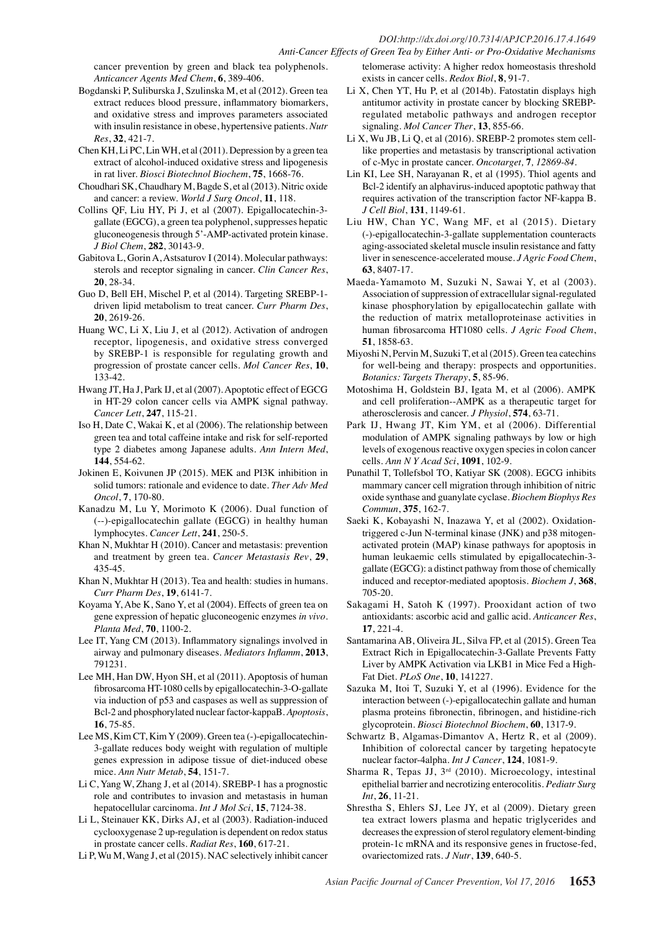cancer prevention by green and black tea polyphenols. *Anticancer Agents Med Chem*, **6**, 389-406.

- Bogdanski P, Suliburska J, Szulinska M, et al (2012). Green tea extract reduces blood pressure, inflammatory biomarkers, and oxidative stress and improves parameters associated with insulin resistance in obese, hypertensive patients. *Nutr Res*, **32**, 421-7.
- Chen KH, Li PC, Lin WH, et al (2011). Depression by a green tea extract of alcohol-induced oxidative stress and lipogenesis in rat liver. *Biosci Biotechnol Biochem*, **75**, 1668-76.
- Choudhari SK, Chaudhary M, Bagde S, et al (2013). Nitric oxide and cancer: a review. *World J Surg Oncol*, **11**, 118.
- Collins QF, Liu HY, Pi J, et al (2007). Epigallocatechin-3 gallate (EGCG), a green tea polyphenol, suppresses hepatic gluconeogenesis through 5'-AMP-activated protein kinase. *J Biol Chem*, **282**, 30143-9.
- Gabitova L, Gorin A, Astsaturov I (2014). Molecular pathways: sterols and receptor signaling in cancer. *Clin Cancer Res*, **20**, 28-34.

Guo D, Bell EH, Mischel P, et al (2014). Targeting SREBP-1 driven lipid metabolism to treat cancer. *Curr Pharm Des*, **20**, 2619-26.

- Huang WC, Li X, Liu J, et al (2012). Activation of androgen receptor, lipogenesis, and oxidative stress converged by SREBP-1 is responsible for regulating growth and progression of prostate cancer cells. *Mol Cancer Res*, **10**, 133-42.
- Hwang JT, Ha J, Park IJ, et al (2007). Apoptotic effect of EGCG in HT-29 colon cancer cells via AMPK signal pathway. *Cancer Lett*, **247**, 115-21.
- Iso H, Date C, Wakai K, et al (2006). The relationship between green tea and total caffeine intake and risk for self-reported type 2 diabetes among Japanese adults. *Ann Intern Med*, **144**, 554-62.
- Jokinen E, Koivunen JP (2015). MEK and PI3K inhibition in solid tumors: rationale and evidence to date. *Ther Adv Med Oncol*, **7**, 170-80.
- Kanadzu M, Lu Y, Morimoto K (2006). Dual function of (--)-epigallocatechin gallate (EGCG) in healthy human lymphocytes. *Cancer Lett*, **241**, 250-5.
- Khan N, Mukhtar H (2010). Cancer and metastasis: prevention and treatment by green tea. *Cancer Metastasis Rev*, **29**, 435-45.
- Khan N, Mukhtar H (2013). Tea and health: studies in humans. *Curr Pharm Des*, **19**, 6141-7.
- Koyama Y, Abe K, Sano Y, et al (2004). Effects of green tea on gene expression of hepatic gluconeogenic enzymes *in vivo*. *Planta Med*, **70**, 1100-2.
- Lee IT, Yang CM (2013). Inflammatory signalings involved in airway and pulmonary diseases. *Mediators Inflamm*, **2013**, 791231.
- Lee MH, Han DW, Hyon SH, et al (2011). Apoptosis of human fibrosarcoma HT-1080 cells by epigallocatechin-3-O-gallate via induction of p53 and caspases as well as suppression of Bcl-2 and phosphorylated nuclear factor-kappaB. *Apoptosis*, **16**, 75-85.
- Lee MS, Kim CT, Kim Y (2009). Green tea (-)-epigallocatechin-3-gallate reduces body weight with regulation of multiple genes expression in adipose tissue of diet-induced obese mice. *Ann Nutr Metab*, **54**, 151-7.
- Li C, Yang W, Zhang J, et al (2014). SREBP-1 has a prognostic role and contributes to invasion and metastasis in human hepatocellular carcinoma. *Int J Mol Sci*, **15**, 7124-38.
- Li L, Steinauer KK, Dirks AJ, et al (2003). Radiation-induced cyclooxygenase 2 up-regulation is dependent on redox status in prostate cancer cells. *Radiat Res*, **160**, 617-21.
- Li P, Wu M, Wang J, et al (2015). NAC selectively inhibit cancer

telomerase activity: A higher redox homeostasis threshold exists in cancer cells. *Redox Biol*, **8**, 91-7.

- Li X, Chen YT, Hu P, et al (2014b). Fatostatin displays high antitumor activity in prostate cancer by blocking SREBPregulated metabolic pathways and androgen receptor signaling. *Mol Cancer Ther*, **13**, 855-66.
- Li X, Wu JB, Li Q, et al (2016). SREBP-2 promotes stem celllike properties and metastasis by transcriptional activation of c-Myc in prostate cancer. *Oncotarget,* **7***, 12869-84*.
- Lin KI, Lee SH, Narayanan R, et al (1995). Thiol agents and Bcl-2 identify an alphavirus-induced apoptotic pathway that requires activation of the transcription factor NF-kappa B. *J Cell Biol*, **131**, 1149-61.
- Liu HW, Chan YC, Wang MF, et al (2015). Dietary (-)-epigallocatechin-3-gallate supplementation counteracts aging-associated skeletal muscle insulin resistance and fatty liver in senescence-accelerated mouse. *J Agric Food Chem*, **63**, 8407-17.
- Maeda-Yamamoto M, Suzuki N, Sawai Y, et al (2003). Association of suppression of extracellular signal-regulated kinase phosphorylation by epigallocatechin gallate with the reduction of matrix metalloproteinase activities in human fibrosarcoma HT1080 cells. *J Agric Food Chem*, **51**, 1858-63.
- Miyoshi N, Pervin M, Suzuki T, et al (2015). Green tea catechins for well-being and therapy: prospects and opportunities. *Botanics: Targets Therapy*, **5**, 85-96.
- Motoshima H, Goldstein BJ, Igata M, et al (2006). AMPK and cell proliferation--AMPK as a therapeutic target for atherosclerosis and cancer. *J Physiol*, **574**, 63-71.
- Park IJ, Hwang JT, Kim YM, et al (2006). Differential modulation of AMPK signaling pathways by low or high levels of exogenous reactive oxygen species in colon cancer cells. *Ann N Y Acad Sci*, **1091**, 102-9.
- Punathil T, Tollefsbol TO, Katiyar SK (2008). EGCG inhibits mammary cancer cell migration through inhibition of nitric oxide synthase and guanylate cyclase. *Biochem Biophys Res Commun*, **375**, 162-7.
- Saeki K, Kobayashi N, Inazawa Y, et al (2002). Oxidationtriggered c-Jun N-terminal kinase (JNK) and p38 mitogenactivated protein (MAP) kinase pathways for apoptosis in human leukaemic cells stimulated by epigallocatechin-3 gallate (EGCG): a distinct pathway from those of chemically induced and receptor-mediated apoptosis. *Biochem J*, **368**, 705-20.
- Sakagami H, Satoh K (1997). Prooxidant action of two antioxidants: ascorbic acid and gallic acid. *Anticancer Res*,  $17, 221 - 4$
- Santamarina AB, Oliveira JL, Silva FP, et al (2015). Green Tea Extract Rich in Epigallocatechin-3-Gallate Prevents Fatty Liver by AMPK Activation via LKB1 in Mice Fed a High-Fat Diet. *PLoS One*, **10**, 141227.
- Sazuka M, Itoi T, Suzuki Y, et al (1996). Evidence for the interaction between (-)-epigallocatechin gallate and human plasma proteins fibronectin, fibrinogen, and histidine-rich glycoprotein. *Biosci Biotechnol Biochem*, **60**, 1317-9.
- Schwartz B, Algamas-Dimantov A, Hertz R, et al (2009). Inhibition of colorectal cancer by targeting hepatocyte nuclear factor-4alpha. *Int J Cancer*, **124**, 1081-9.
- Sharma R, Tepas JJ,  $3<sup>rd</sup>$  (2010). Microecology, intestinal epithelial barrier and necrotizing enterocolitis. *Pediatr Surg Int*, **26**, 11-21.
- Shrestha S, Ehlers SJ, Lee JY, et al (2009). Dietary green tea extract lowers plasma and hepatic triglycerides and decreases the expression of sterol regulatory element-binding protein-1c mRNA and its responsive genes in fructose-fed, ovariectomized rats. *J Nutr*, **139**, 640-5.